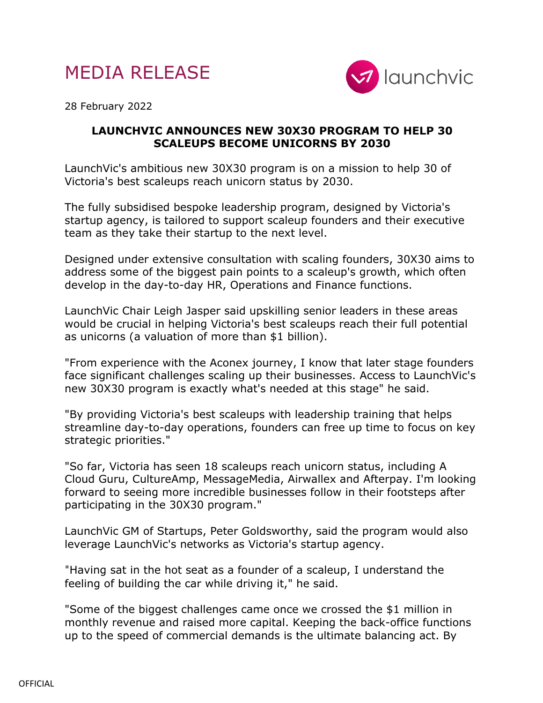



28 February 2022

## **LAUNCHVIC ANNOUNCES NEW 30X30 PROGRAM TO HELP 30 SCALEUPS BECOME UNICORNS BY 2030**

LaunchVic's ambitious new 30X30 program is on a mission to help 30 of Victoria's best scaleups reach unicorn status by 2030.

The fully subsidised bespoke leadership program, designed by Victoria's startup agency, is tailored to support scaleup founders and their executive team as they take their startup to the next level.

Designed under extensive consultation with scaling founders, 30X30 aims to address some of the biggest pain points to a scaleup's growth, which often develop in the day-to-day HR, Operations and Finance functions.

LaunchVic Chair Leigh Jasper said upskilling senior leaders in these areas would be crucial in helping Victoria's best scaleups reach their full potential as unicorns (a valuation of more than \$1 billion).

"From experience with the Aconex journey, I know that later stage founders face significant challenges scaling up their businesses. Access to LaunchVic's new 30X30 program is exactly what's needed at this stage" he said.

"By providing Victoria's best scaleups with leadership training that helps streamline day-to-day operations, founders can free up time to focus on key strategic priorities."

"So far, Victoria has seen 18 scaleups reach unicorn status, including A Cloud Guru, CultureAmp, MessageMedia, Airwallex and Afterpay. I'm looking forward to seeing more incredible businesses follow in their footsteps after participating in the 30X30 program."

LaunchVic GM of Startups, Peter Goldsworthy, said the program would also leverage LaunchVic's networks as Victoria's startup agency.

"Having sat in the hot seat as a founder of a scaleup, I understand the feeling of building the car while driving it," he said.

"Some of the biggest challenges came once we crossed the \$1 million in monthly revenue and raised more capital. Keeping the back-office functions up to the speed of commercial demands is the ultimate balancing act. By